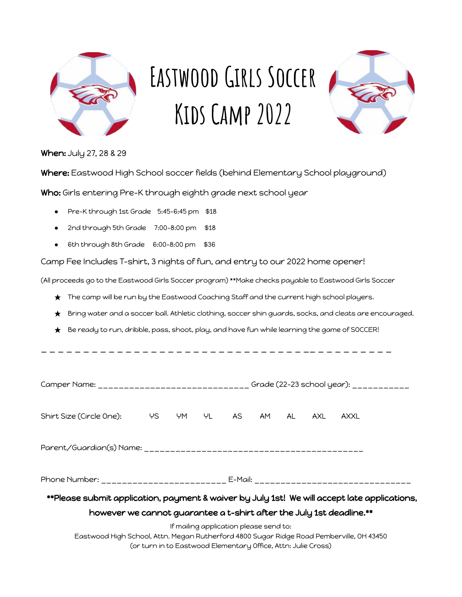

# EASTWOOD GIRLS SOCCER **Kids Camp 2022**



When: July 27, 28 & 29

Where: Eastwood High School soccer fields (behind Elementary School playground)

Who: Girls entering Pre-K through eighth grade next school year

- Pre-K through 1st Grade 5:45-6:45 pm \$18
- 2nd through 5th Grade 7:00-8:00 pm \$18
- 6th through 8th Grade 6:00-8:00 pm \$36

Camp Fee Includes T-shirt, 3 nights of fun, and entry to our 2022 home opener!

(All proceeds go to the Eastwood Girls Soccer program) \*\*Make checks payable to Eastwood Girls Soccer

- ★ The camp will be run by the Eastwood Coaching Staff and the current high school players.
- Bring water and a soccer ball. Athletic clothing, soccer shin guards, socks, and cleats are encouraged.
- $\bigstar$  Be ready to run, dribble, pass, shoot, play, and have fun while learning the game of SOCCER!

\_ \_ \_ \_ \_ \_ \_ \_ \_ \_ \_ \_ \_ \_ \_ \_ \_ \_ \_ \_ \_ \_ \_ \_ \_ \_ \_ \_ \_ \_ \_ \_\_ \_ \_ \_ \_ \_ \_ \_ \_ \_

|                                                                                              | Camper Name: ______________________________ Grade (22-23 school year): __________ |  |  |                                                                                                         |  |  |      |  |
|----------------------------------------------------------------------------------------------|-----------------------------------------------------------------------------------|--|--|---------------------------------------------------------------------------------------------------------|--|--|------|--|
| Shirt Size (Circle One):                                                                     |                                                                                   |  |  | YS YM YL AS AM AL AXL                                                                                   |  |  | AXXL |  |
|                                                                                              |                                                                                   |  |  |                                                                                                         |  |  |      |  |
| Phone Number: _______________________ E-Mail: __________________________________             |                                                                                   |  |  |                                                                                                         |  |  |      |  |
| **Please submit application, payment & waiver by July 1st! We will accept late applications, |                                                                                   |  |  |                                                                                                         |  |  |      |  |
| however we cannot guarantee a t-shirt after the July 1st deadline. **                        |                                                                                   |  |  |                                                                                                         |  |  |      |  |
| Eastwood High School, Attn. Megan Rutherford 4800 Sugar Ridge Road Pemberville, OH 43450     |                                                                                   |  |  | If mailing application please send to:<br>(or turn in to Eastwood Elementary Office, Attn: Julie Cross) |  |  |      |  |